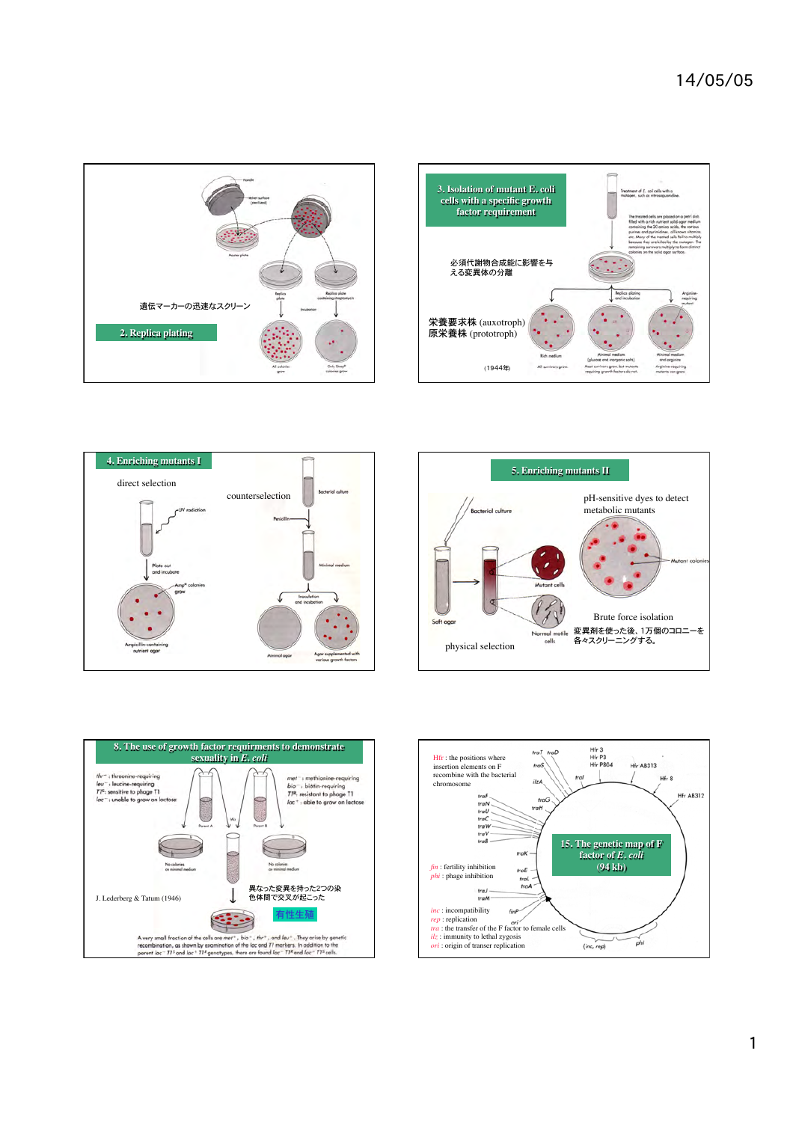









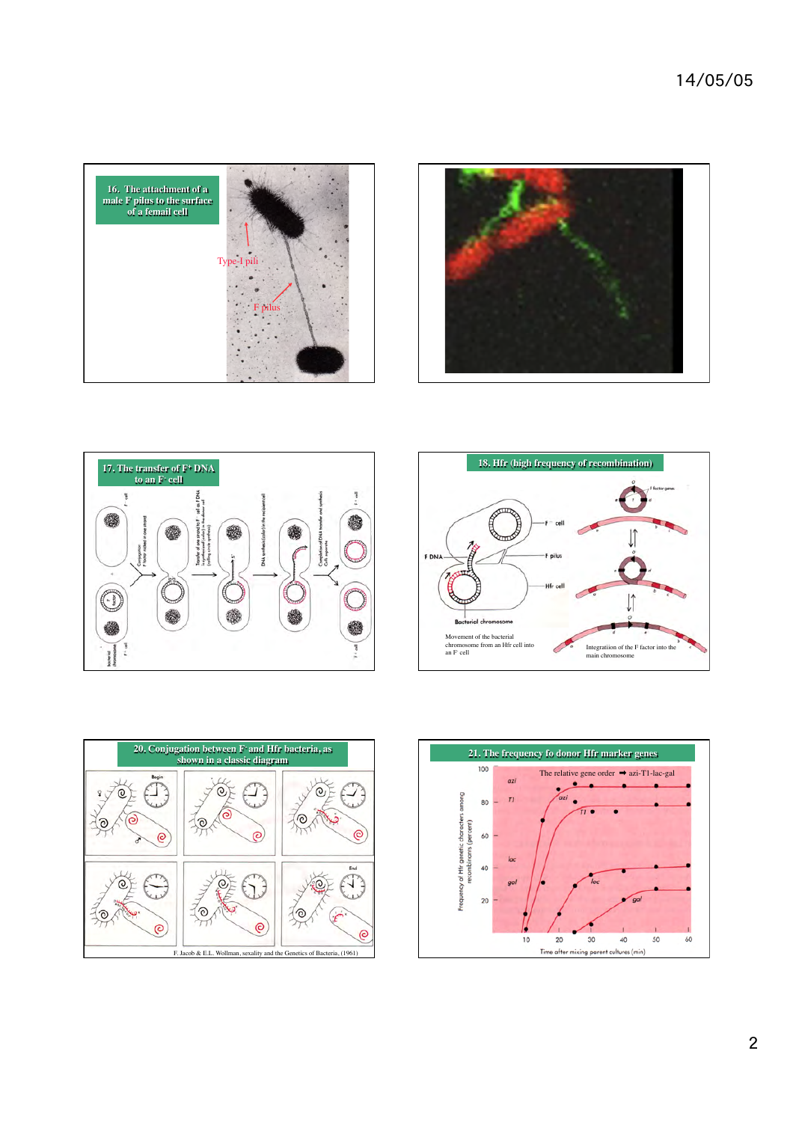